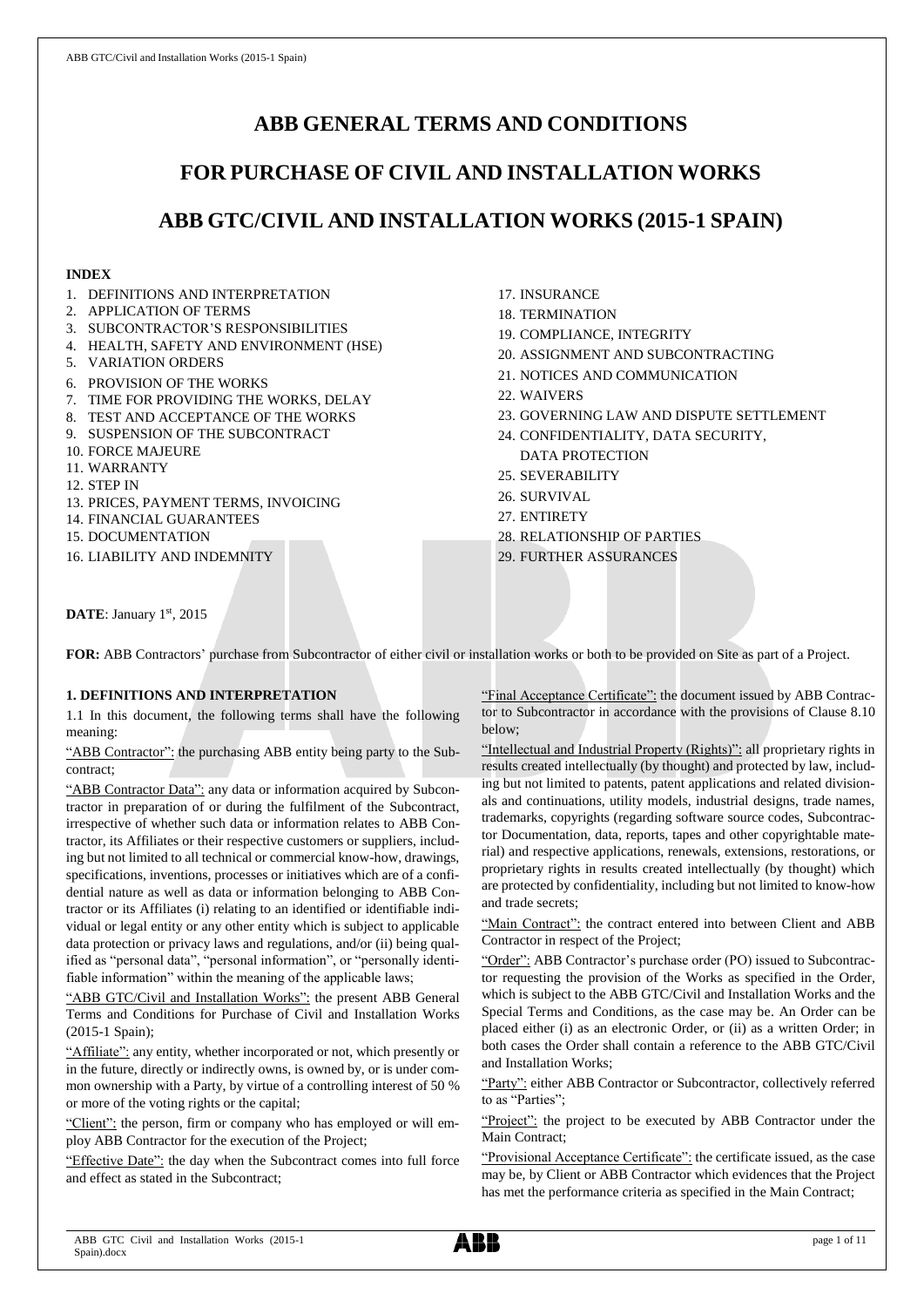# **ABB GENERAL TERMS AND CONDITIONS**

# **FOR PURCHASE OF CIVIL AND INSTALLATION WORKS**

# **ABB GTC/CIVIL AND INSTALLATION WORKS (2015-1 SPAIN)**

## **INDEX**

- 1. DEFINITIONS AND INTERPRETATION
- 2. APPLICATION OF TERMS
- 3. SUBCONTRACTOR'S RESPONSIBILITIES
- 4. HEALTH, SAFETY AND ENVIRONMENT (HSE)
- 5. VARIATION ORDERS
- 6. PROVISION OF THE WORKS
- 7. TIME FOR PROVIDING THE WORKS, DELAY
- 8. TEST AND ACCEPTANCE OF THE WORKS
- 9. SUSPENSION OF THE SUBCONTRACT
- 10. FORCE MAJEURE
- 11. WARRANTY
- 12. STEP IN
- 13. PRICES, PAYMENT TERMS, INVOICING
- 14. FINANCIAL GUARANTEES
- 15. DOCUMENTATION

16. LIABILITY AND INDEMNITY

- 17. INSURANCE
- 18. TERMINATION
- 19. COMPLIANCE, INTEGRITY
- 20. ASSIGNMENT AND SUBCONTRACTING
- 21. NOTICES AND COMMUNICATION
- 22. WAIVERS
- 23. GOVERNING LAW AND DISPUTE SETTLEMENT
- 24. CONFIDENTIALITY, DATA SECURITY, DATA PROTECTION
- 25. SEVERABILITY
- 26. SURVIVAL
- 27. ENTIRETY
- 28. RELATIONSHIP OF PARTIES
- 29. FURTHER ASSURANCES

DATE: January 1st, 2015

FOR: ABB Contractors' purchase from Subcontractor of either civil or installation works or both to be provided on Site as part of a Project.

# **1. DEFINITIONS AND INTERPRETATION**

1.1 In this document, the following terms shall have the following meaning:

"ABB Contractor": the purchasing ABB entity being party to the Subcontract;

"ABB Contractor Data": any data or information acquired by Subcontractor in preparation of or during the fulfilment of the Subcontract, irrespective of whether such data or information relates to ABB Contractor, its Affiliates or their respective customers or suppliers, including but not limited to all technical or commercial know-how, drawings, specifications, inventions, processes or initiatives which are of a confidential nature as well as data or information belonging to ABB Contractor or its Affiliates (i) relating to an identified or identifiable individual or legal entity or any other entity which is subject to applicable data protection or privacy laws and regulations, and/or (ii) being qualified as "personal data", "personal information", or "personally identifiable information" within the meaning of the applicable laws;

"ABB GTC/Civil and Installation Works": the present ABB General Terms and Conditions for Purchase of Civil and Installation Works (2015-1 Spain);

"Affiliate": any entity, whether incorporated or not, which presently or in the future, directly or indirectly owns, is owned by, or is under common ownership with a Party, by virtue of a controlling interest of 50 % or more of the voting rights or the capital;

"Client": the person, firm or company who has employed or will employ ABB Contractor for the execution of the Project;

"Effective Date": the day when the Subcontract comes into full force and effect as stated in the Subcontract;

"Final Acceptance Certificate": the document issued by ABB Contractor to Subcontractor in accordance with the provisions of Clause 8.10 below;

"Intellectual and Industrial Property (Rights)": all proprietary rights in results created intellectually (by thought) and protected by law, including but not limited to patents, patent applications and related divisionals and continuations, utility models, industrial designs, trade names, trademarks, copyrights (regarding software source codes, Subcontractor Documentation, data, reports, tapes and other copyrightable material) and respective applications, renewals, extensions, restorations, or proprietary rights in results created intellectually (by thought) which are protected by confidentiality, including but not limited to know-how and trade secrets;

"Main Contract": the contract entered into between Client and ABB Contractor in respect of the Project;

"Order": ABB Contractor's purchase order (PO) issued to Subcontractor requesting the provision of the Works as specified in the Order, which is subject to the ABB GTC/Civil and Installation Works and the Special Terms and Conditions, as the case may be. An Order can be placed either (i) as an electronic Order, or (ii) as a written Order; in both cases the Order shall contain a reference to the ABB GTC/Civil and Installation Works;

"Party": either ABB Contractor or Subcontractor, collectively referred to as "Parties";

"Project": the project to be executed by ABB Contractor under the Main Contract;

"Provisional Acceptance Certificate": the certificate issued, as the case may be, by Client or ABB Contractor which evidences that the Project has met the performance criteria as specified in the Main Contract;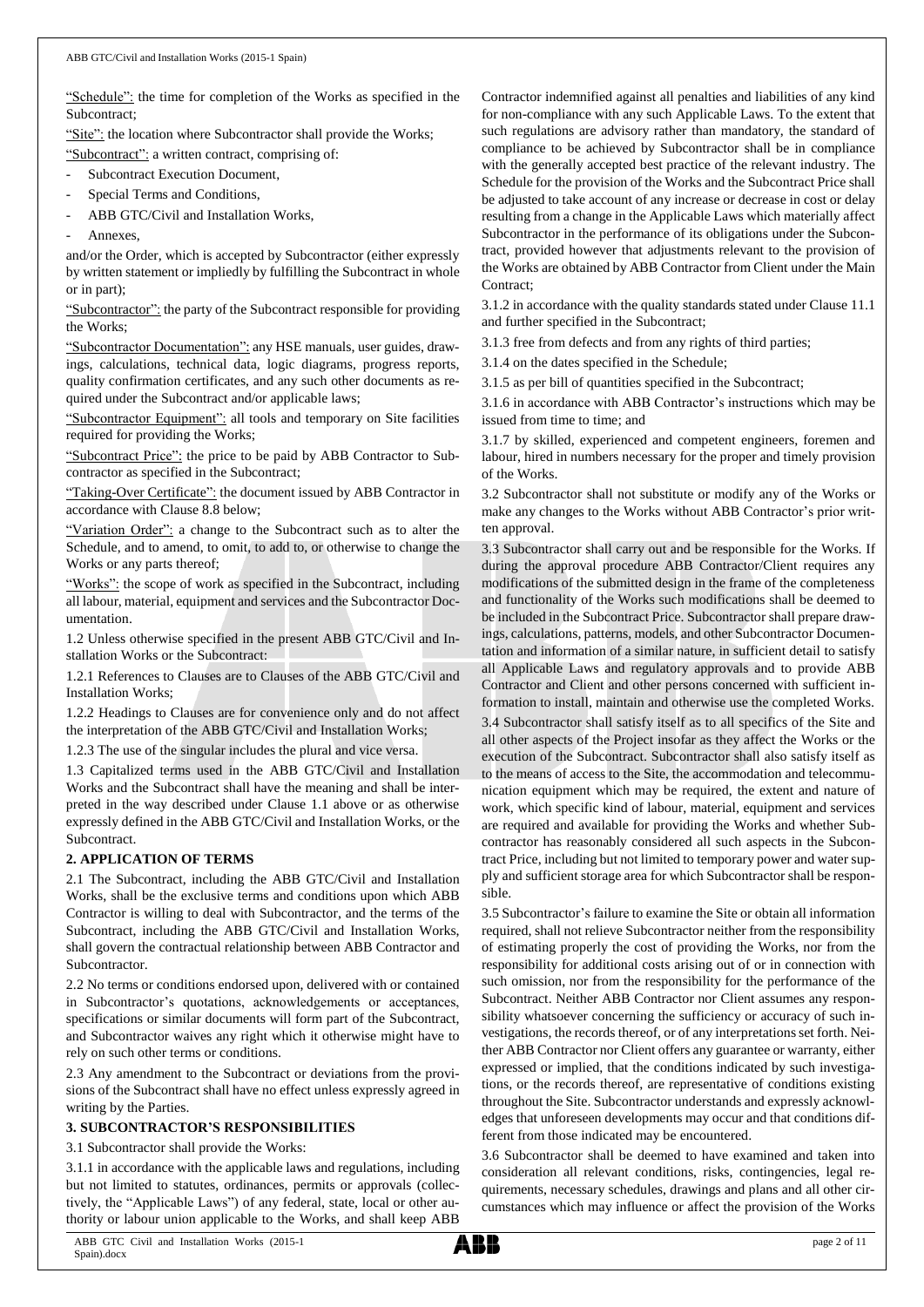"Schedule": the time for completion of the Works as specified in the Subcontract;

"Site": the location where Subcontractor shall provide the Works;

"Subcontract": a written contract, comprising of:

- Subcontract Execution Document,
- Special Terms and Conditions,
- ABB GTC/Civil and Installation Works,
- Annexes.

and/or the Order, which is accepted by Subcontractor (either expressly by written statement or impliedly by fulfilling the Subcontract in whole or in part);

"Subcontractor": the party of the Subcontract responsible for providing the Works;

"Subcontractor Documentation": any HSE manuals, user guides, drawings, calculations, technical data, logic diagrams, progress reports, quality confirmation certificates, and any such other documents as required under the Subcontract and/or applicable laws;

"Subcontractor Equipment": all tools and temporary on Site facilities required for providing the Works;

"Subcontract Price": the price to be paid by ABB Contractor to Subcontractor as specified in the Subcontract;

"Taking-Over Certificate": the document issued by ABB Contractor in accordance with Clause 8.8 below;

"Variation Order": a change to the Subcontract such as to alter the Schedule, and to amend, to omit, to add to, or otherwise to change the Works or any parts thereof;

"Works": the scope of work as specified in the Subcontract, including all labour, material, equipment and services and the Subcontractor Documentation.

1.2 Unless otherwise specified in the present ABB GTC/Civil and Installation Works or the Subcontract:

1.2.1 References to Clauses are to Clauses of the ABB GTC/Civil and Installation Works;

1.2.2 Headings to Clauses are for convenience only and do not affect the interpretation of the ABB GTC/Civil and Installation Works;

1.2.3 The use of the singular includes the plural and vice versa.

1.3 Capitalized terms used in the ABB GTC/Civil and Installation Works and the Subcontract shall have the meaning and shall be interpreted in the way described under Clause 1.1 above or as otherwise expressly defined in the ABB GTC/Civil and Installation Works, or the Subcontract.

# **2. APPLICATION OF TERMS**

2.1 The Subcontract, including the ABB GTC/Civil and Installation Works, shall be the exclusive terms and conditions upon which ABB Contractor is willing to deal with Subcontractor, and the terms of the Subcontract, including the ABB GTC/Civil and Installation Works, shall govern the contractual relationship between ABB Contractor and Subcontractor.

2.2 No terms or conditions endorsed upon, delivered with or contained in Subcontractor's quotations, acknowledgements or acceptances, specifications or similar documents will form part of the Subcontract, and Subcontractor waives any right which it otherwise might have to rely on such other terms or conditions.

2.3 Any amendment to the Subcontract or deviations from the provisions of the Subcontract shall have no effect unless expressly agreed in writing by the Parties.

### **3. SUBCONTRACTOR'S RESPONSIBILITIES**

3.1 Subcontractor shall provide the Works:

3.1.1 in accordance with the applicable laws and regulations, including but not limited to statutes, ordinances, permits or approvals (collectively, the "Applicable Laws") of any federal, state, local or other authority or labour union applicable to the Works, and shall keep ABB

Contractor indemnified against all penalties and liabilities of any kind for non-compliance with any such Applicable Laws. To the extent that such regulations are advisory rather than mandatory, the standard of compliance to be achieved by Subcontractor shall be in compliance with the generally accepted best practice of the relevant industry. The Schedule for the provision of the Works and the Subcontract Price shall be adjusted to take account of any increase or decrease in cost or delay resulting from a change in the Applicable Laws which materially affect Subcontractor in the performance of its obligations under the Subcontract, provided however that adjustments relevant to the provision of the Works are obtained by ABB Contractor from Client under the Main Contract:

3.1.2 in accordance with the quality standards stated under Clause 11.1 and further specified in the Subcontract;

3.1.3 free from defects and from any rights of third parties;

3.1.4 on the dates specified in the Schedule;

3.1.5 as per bill of quantities specified in the Subcontract;

3.1.6 in accordance with ABB Contractor's instructions which may be issued from time to time; and

3.1.7 by skilled, experienced and competent engineers, foremen and labour, hired in numbers necessary for the proper and timely provision of the Works.

3.2 Subcontractor shall not substitute or modify any of the Works or make any changes to the Works without ABB Contractor's prior written approval.

3.3 Subcontractor shall carry out and be responsible for the Works. If during the approval procedure ABB Contractor/Client requires any modifications of the submitted design in the frame of the completeness and functionality of the Works such modifications shall be deemed to be included in the Subcontract Price. Subcontractor shall prepare drawings, calculations, patterns, models, and other Subcontractor Documentation and information of a similar nature, in sufficient detail to satisfy all Applicable Laws and regulatory approvals and to provide ABB Contractor and Client and other persons concerned with sufficient information to install, maintain and otherwise use the completed Works.

3.4 Subcontractor shall satisfy itself as to all specifics of the Site and all other aspects of the Project insofar as they affect the Works or the execution of the Subcontract. Subcontractor shall also satisfy itself as to the means of access to the Site, the accommodation and telecommunication equipment which may be required, the extent and nature of work, which specific kind of labour, material, equipment and services are required and available for providing the Works and whether Subcontractor has reasonably considered all such aspects in the Subcontract Price, including but not limited to temporary power and water supply and sufficient storage area for which Subcontractor shall be responsible.

3.5 Subcontractor's failure to examine the Site or obtain all information required, shall not relieve Subcontractor neither from the responsibility of estimating properly the cost of providing the Works, nor from the responsibility for additional costs arising out of or in connection with such omission, nor from the responsibility for the performance of the Subcontract. Neither ABB Contractor nor Client assumes any responsibility whatsoever concerning the sufficiency or accuracy of such investigations, the records thereof, or of any interpretations set forth. Neither ABB Contractor nor Client offers any guarantee or warranty, either expressed or implied, that the conditions indicated by such investigations, or the records thereof, are representative of conditions existing throughout the Site. Subcontractor understands and expressly acknowledges that unforeseen developments may occur and that conditions different from those indicated may be encountered.

3.6 Subcontractor shall be deemed to have examined and taken into consideration all relevant conditions, risks, contingencies, legal requirements, necessary schedules, drawings and plans and all other circumstances which may influence or affect the provision of the Works

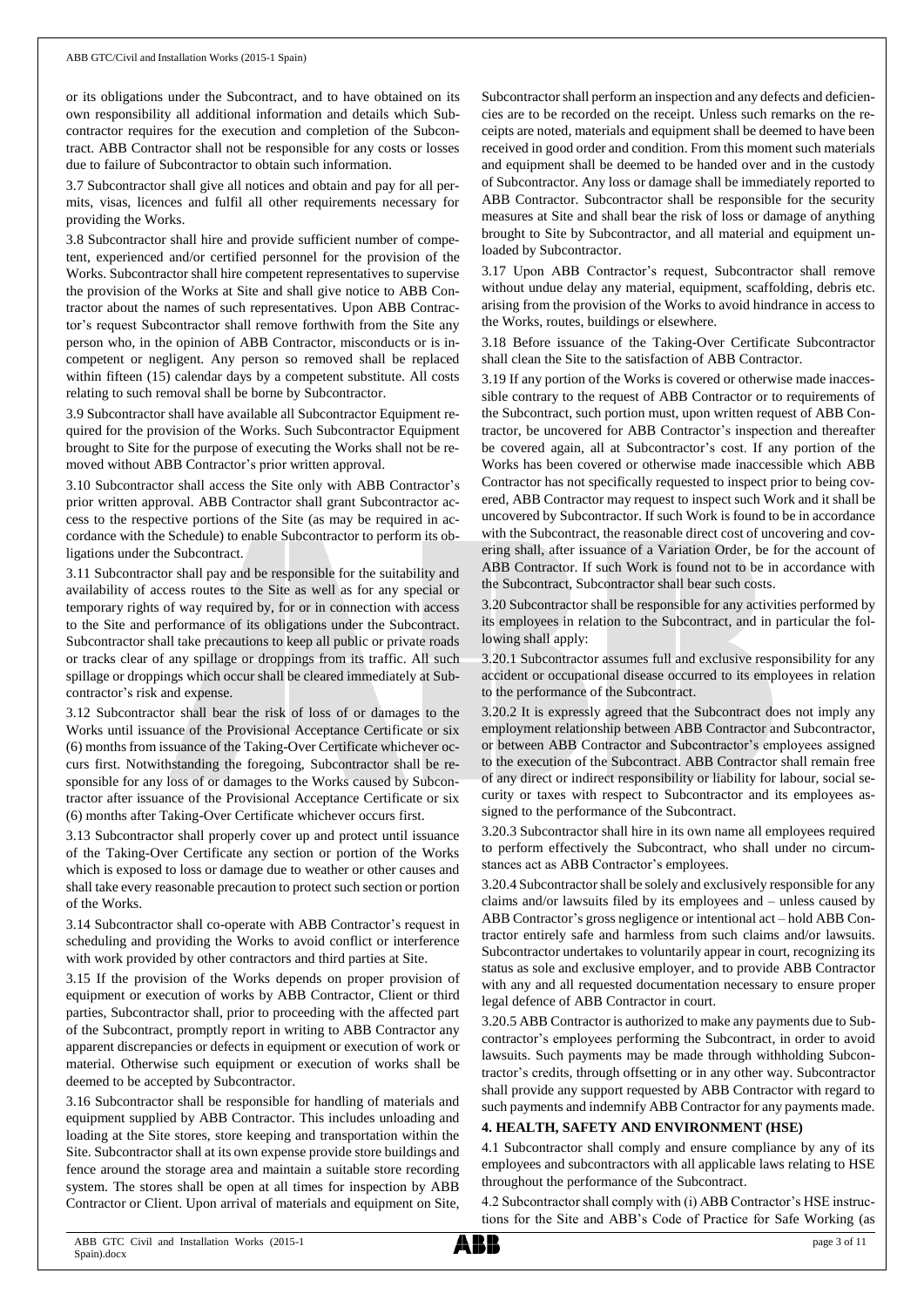or its obligations under the Subcontract, and to have obtained on its own responsibility all additional information and details which Subcontractor requires for the execution and completion of the Subcontract. ABB Contractor shall not be responsible for any costs or losses due to failure of Subcontractor to obtain such information.

3.7 Subcontractor shall give all notices and obtain and pay for all permits, visas, licences and fulfil all other requirements necessary for providing the Works.

3.8 Subcontractor shall hire and provide sufficient number of competent, experienced and/or certified personnel for the provision of the Works. Subcontractor shall hire competent representatives to supervise the provision of the Works at Site and shall give notice to ABB Contractor about the names of such representatives. Upon ABB Contractor's request Subcontractor shall remove forthwith from the Site any person who, in the opinion of ABB Contractor, misconducts or is incompetent or negligent. Any person so removed shall be replaced within fifteen (15) calendar days by a competent substitute. All costs relating to such removal shall be borne by Subcontractor.

3.9 Subcontractor shall have available all Subcontractor Equipment required for the provision of the Works. Such Subcontractor Equipment brought to Site for the purpose of executing the Works shall not be removed without ABB Contractor's prior written approval.

3.10 Subcontractor shall access the Site only with ABB Contractor's prior written approval. ABB Contractor shall grant Subcontractor access to the respective portions of the Site (as may be required in accordance with the Schedule) to enable Subcontractor to perform its obligations under the Subcontract.

3.11 Subcontractor shall pay and be responsible for the suitability and availability of access routes to the Site as well as for any special or temporary rights of way required by, for or in connection with access to the Site and performance of its obligations under the Subcontract. Subcontractor shall take precautions to keep all public or private roads or tracks clear of any spillage or droppings from its traffic. All such spillage or droppings which occur shall be cleared immediately at Subcontractor's risk and expense.

3.12 Subcontractor shall bear the risk of loss of or damages to the Works until issuance of the Provisional Acceptance Certificate or six (6) months from issuance of the Taking-Over Certificate whichever occurs first. Notwithstanding the foregoing, Subcontractor shall be responsible for any loss of or damages to the Works caused by Subcontractor after issuance of the Provisional Acceptance Certificate or six (6) months after Taking-Over Certificate whichever occurs first.

3.13 Subcontractor shall properly cover up and protect until issuance of the Taking-Over Certificate any section or portion of the Works which is exposed to loss or damage due to weather or other causes and shall take every reasonable precaution to protect such section or portion of the Works.

3.14 Subcontractor shall co-operate with ABB Contractor's request in scheduling and providing the Works to avoid conflict or interference with work provided by other contractors and third parties at Site.

3.15 If the provision of the Works depends on proper provision of equipment or execution of works by ABB Contractor, Client or third parties, Subcontractor shall, prior to proceeding with the affected part of the Subcontract, promptly report in writing to ABB Contractor any apparent discrepancies or defects in equipment or execution of work or material. Otherwise such equipment or execution of works shall be deemed to be accepted by Subcontractor.

3.16 Subcontractor shall be responsible for handling of materials and equipment supplied by ABB Contractor. This includes unloading and loading at the Site stores, store keeping and transportation within the Site. Subcontractor shall at its own expense provide store buildings and fence around the storage area and maintain a suitable store recording system. The stores shall be open at all times for inspection by ABB Contractor or Client. Upon arrival of materials and equipment on Site,

Subcontractor shall perform an inspection and any defects and deficiencies are to be recorded on the receipt. Unless such remarks on the receipts are noted, materials and equipment shall be deemed to have been received in good order and condition. From this moment such materials and equipment shall be deemed to be handed over and in the custody of Subcontractor. Any loss or damage shall be immediately reported to ABB Contractor. Subcontractor shall be responsible for the security measures at Site and shall bear the risk of loss or damage of anything brought to Site by Subcontractor, and all material and equipment unloaded by Subcontractor.

3.17 Upon ABB Contractor's request, Subcontractor shall remove without undue delay any material, equipment, scaffolding, debris etc. arising from the provision of the Works to avoid hindrance in access to the Works, routes, buildings or elsewhere.

3.18 Before issuance of the Taking-Over Certificate Subcontractor shall clean the Site to the satisfaction of ABB Contractor.

3.19 If any portion of the Works is covered or otherwise made inaccessible contrary to the request of ABB Contractor or to requirements of the Subcontract, such portion must, upon written request of ABB Contractor, be uncovered for ABB Contractor's inspection and thereafter be covered again, all at Subcontractor's cost. If any portion of the Works has been covered or otherwise made inaccessible which ABB Contractor has not specifically requested to inspect prior to being covered, ABB Contractor may request to inspect such Work and it shall be uncovered by Subcontractor. If such Work is found to be in accordance with the Subcontract, the reasonable direct cost of uncovering and covering shall, after issuance of a Variation Order, be for the account of ABB Contractor. If such Work is found not to be in accordance with the Subcontract, Subcontractor shall bear such costs.

3.20 Subcontractor shall be responsible for any activities performed by its employees in relation to the Subcontract, and in particular the following shall apply:

3.20.1 Subcontractor assumes full and exclusive responsibility for any accident or occupational disease occurred to its employees in relation to the performance of the Subcontract.

3.20.2 It is expressly agreed that the Subcontract does not imply any employment relationship between ABB Contractor and Subcontractor, or between ABB Contractor and Subcontractor's employees assigned to the execution of the Subcontract. ABB Contractor shall remain free of any direct or indirect responsibility or liability for labour, social security or taxes with respect to Subcontractor and its employees assigned to the performance of the Subcontract.

3.20.3 Subcontractor shall hire in its own name all employees required to perform effectively the Subcontract, who shall under no circumstances act as ABB Contractor's employees.

3.20.4 Subcontractorshall be solely and exclusively responsible for any claims and/or lawsuits filed by its employees and – unless caused by ABB Contractor's gross negligence or intentional act – hold ABB Contractor entirely safe and harmless from such claims and/or lawsuits. Subcontractor undertakes to voluntarily appear in court, recognizing its status as sole and exclusive employer, and to provide ABB Contractor with any and all requested documentation necessary to ensure proper legal defence of ABB Contractor in court.

3.20.5 ABB Contractor is authorized to make any payments due to Subcontractor's employees performing the Subcontract, in order to avoid lawsuits. Such payments may be made through withholding Subcontractor's credits, through offsetting or in any other way. Subcontractor shall provide any support requested by ABB Contractor with regard to such payments and indemnify ABB Contractor for any payments made.

## **4. HEALTH, SAFETY AND ENVIRONMENT (HSE)**

4.1 Subcontractor shall comply and ensure compliance by any of its employees and subcontractors with all applicable laws relating to HSE throughout the performance of the Subcontract.

4.2 Subcontractor shall comply with (i) ABB Contractor's HSE instructions for the Site and ABB's Code of Practice for Safe Working (as

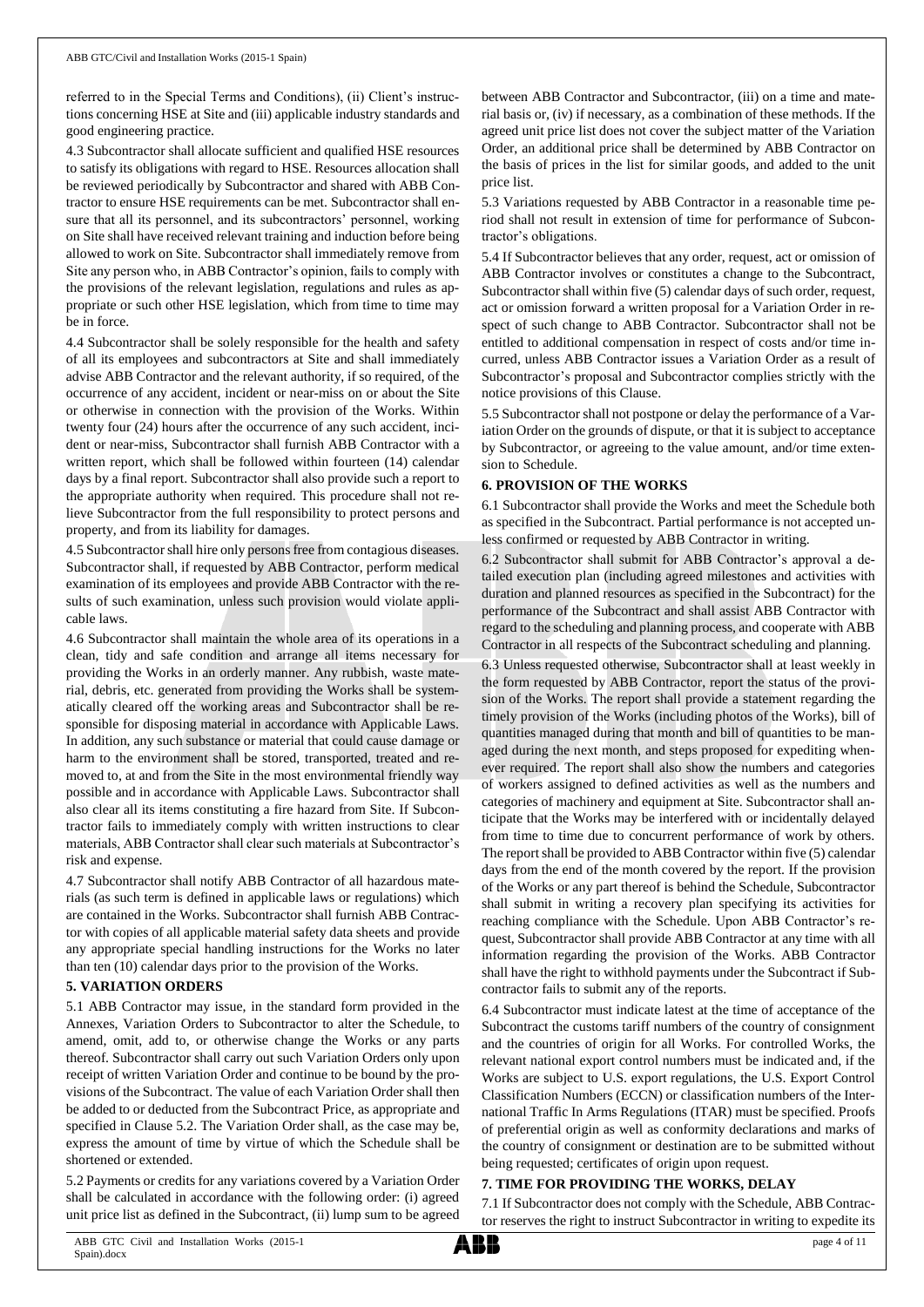referred to in the Special Terms and Conditions), (ii) Client's instructions concerning HSE at Site and (iii) applicable industry standards and good engineering practice.

4.3 Subcontractor shall allocate sufficient and qualified HSE resources to satisfy its obligations with regard to HSE. Resources allocation shall be reviewed periodically by Subcontractor and shared with ABB Contractor to ensure HSE requirements can be met. Subcontractor shall ensure that all its personnel, and its subcontractors' personnel, working on Site shall have received relevant training and induction before being allowed to work on Site. Subcontractor shall immediately remove from Site any person who, in ABB Contractor's opinion, fails to comply with the provisions of the relevant legislation, regulations and rules as appropriate or such other HSE legislation, which from time to time may be in force.

4.4 Subcontractor shall be solely responsible for the health and safety of all its employees and subcontractors at Site and shall immediately advise ABB Contractor and the relevant authority, if so required, of the occurrence of any accident, incident or near-miss on or about the Site or otherwise in connection with the provision of the Works. Within twenty four (24) hours after the occurrence of any such accident, incident or near-miss, Subcontractor shall furnish ABB Contractor with a written report, which shall be followed within fourteen (14) calendar days by a final report. Subcontractor shall also provide such a report to the appropriate authority when required. This procedure shall not relieve Subcontractor from the full responsibility to protect persons and property, and from its liability for damages.

4.5 Subcontractor shall hire only persons free from contagious diseases. Subcontractor shall, if requested by ABB Contractor, perform medical examination of its employees and provide ABB Contractor with the results of such examination, unless such provision would violate applicable laws.

4.6 Subcontractor shall maintain the whole area of its operations in a clean, tidy and safe condition and arrange all items necessary for providing the Works in an orderly manner. Any rubbish, waste material, debris, etc. generated from providing the Works shall be systematically cleared off the working areas and Subcontractor shall be responsible for disposing material in accordance with Applicable Laws. In addition, any such substance or material that could cause damage or harm to the environment shall be stored, transported, treated and removed to, at and from the Site in the most environmental friendly way possible and in accordance with Applicable Laws. Subcontractor shall also clear all its items constituting a fire hazard from Site. If Subcontractor fails to immediately comply with written instructions to clear materials, ABB Contractor shall clear such materials at Subcontractor's risk and expense.

4.7 Subcontractor shall notify ABB Contractor of all hazardous materials (as such term is defined in applicable laws or regulations) which are contained in the Works. Subcontractor shall furnish ABB Contractor with copies of all applicable material safety data sheets and provide any appropriate special handling instructions for the Works no later than ten (10) calendar days prior to the provision of the Works.

#### **5. VARIATION ORDERS**

5.1 ABB Contractor may issue, in the standard form provided in the Annexes, Variation Orders to Subcontractor to alter the Schedule, to amend, omit, add to, or otherwise change the Works or any parts thereof. Subcontractor shall carry out such Variation Orders only upon receipt of written Variation Order and continue to be bound by the provisions of the Subcontract. The value of each Variation Order shall then be added to or deducted from the Subcontract Price, as appropriate and specified in Clause 5.2. The Variation Order shall, as the case may be, express the amount of time by virtue of which the Schedule shall be shortened or extended.

5.2 Payments or credits for any variations covered by a Variation Order shall be calculated in accordance with the following order: (i) agreed unit price list as defined in the Subcontract, (ii) lump sum to be agreed

between ABB Contractor and Subcontractor, (iii) on a time and material basis or, (iv) if necessary, as a combination of these methods. If the agreed unit price list does not cover the subject matter of the Variation Order, an additional price shall be determined by ABB Contractor on the basis of prices in the list for similar goods, and added to the unit price list.

5.3 Variations requested by ABB Contractor in a reasonable time period shall not result in extension of time for performance of Subcontractor's obligations.

5.4 If Subcontractor believes that any order, request, act or omission of ABB Contractor involves or constitutes a change to the Subcontract, Subcontractor shall within five (5) calendar days of such order, request, act or omission forward a written proposal for a Variation Order in respect of such change to ABB Contractor. Subcontractor shall not be entitled to additional compensation in respect of costs and/or time incurred, unless ABB Contractor issues a Variation Order as a result of Subcontractor's proposal and Subcontractor complies strictly with the notice provisions of this Clause.

5.5 Subcontractor shall not postpone or delay the performance of a Variation Order on the grounds of dispute, or that it is subject to acceptance by Subcontractor, or agreeing to the value amount, and/or time extension to Schedule.

#### **6. PROVISION OF THE WORKS**

6.1 Subcontractor shall provide the Works and meet the Schedule both as specified in the Subcontract. Partial performance is not accepted unless confirmed or requested by ABB Contractor in writing.

6.2 Subcontractor shall submit for ABB Contractor's approval a detailed execution plan (including agreed milestones and activities with duration and planned resources as specified in the Subcontract) for the performance of the Subcontract and shall assist ABB Contractor with regard to the scheduling and planning process, and cooperate with ABB Contractor in all respects of the Subcontract scheduling and planning.

6.3 Unless requested otherwise, Subcontractor shall at least weekly in the form requested by ABB Contractor, report the status of the provision of the Works. The report shall provide a statement regarding the timely provision of the Works (including photos of the Works), bill of quantities managed during that month and bill of quantities to be managed during the next month, and steps proposed for expediting whenever required. The report shall also show the numbers and categories of workers assigned to defined activities as well as the numbers and categories of machinery and equipment at Site. Subcontractor shall anticipate that the Works may be interfered with or incidentally delayed from time to time due to concurrent performance of work by others. The report shall be provided to ABB Contractor within five (5) calendar days from the end of the month covered by the report. If the provision of the Works or any part thereof is behind the Schedule, Subcontractor shall submit in writing a recovery plan specifying its activities for reaching compliance with the Schedule. Upon ABB Contractor's request, Subcontractor shall provide ABB Contractor at any time with all information regarding the provision of the Works. ABB Contractor shall have the right to withhold payments under the Subcontract if Subcontractor fails to submit any of the reports.

6.4 Subcontractor must indicate latest at the time of acceptance of the Subcontract the customs tariff numbers of the country of consignment and the countries of origin for all Works. For controlled Works, the relevant national export control numbers must be indicated and, if the Works are subject to U.S. export regulations, the U.S. Export Control Classification Numbers (ECCN) or classification numbers of the International Traffic In Arms Regulations (ITAR) must be specified. Proofs of preferential origin as well as conformity declarations and marks of the country of consignment or destination are to be submitted without being requested; certificates of origin upon request.

## **7. TIME FOR PROVIDING THE WORKS, DELAY**

7.1 If Subcontractor does not comply with the Schedule, ABB Contractor reserves the right to instruct Subcontractor in writing to expedite its

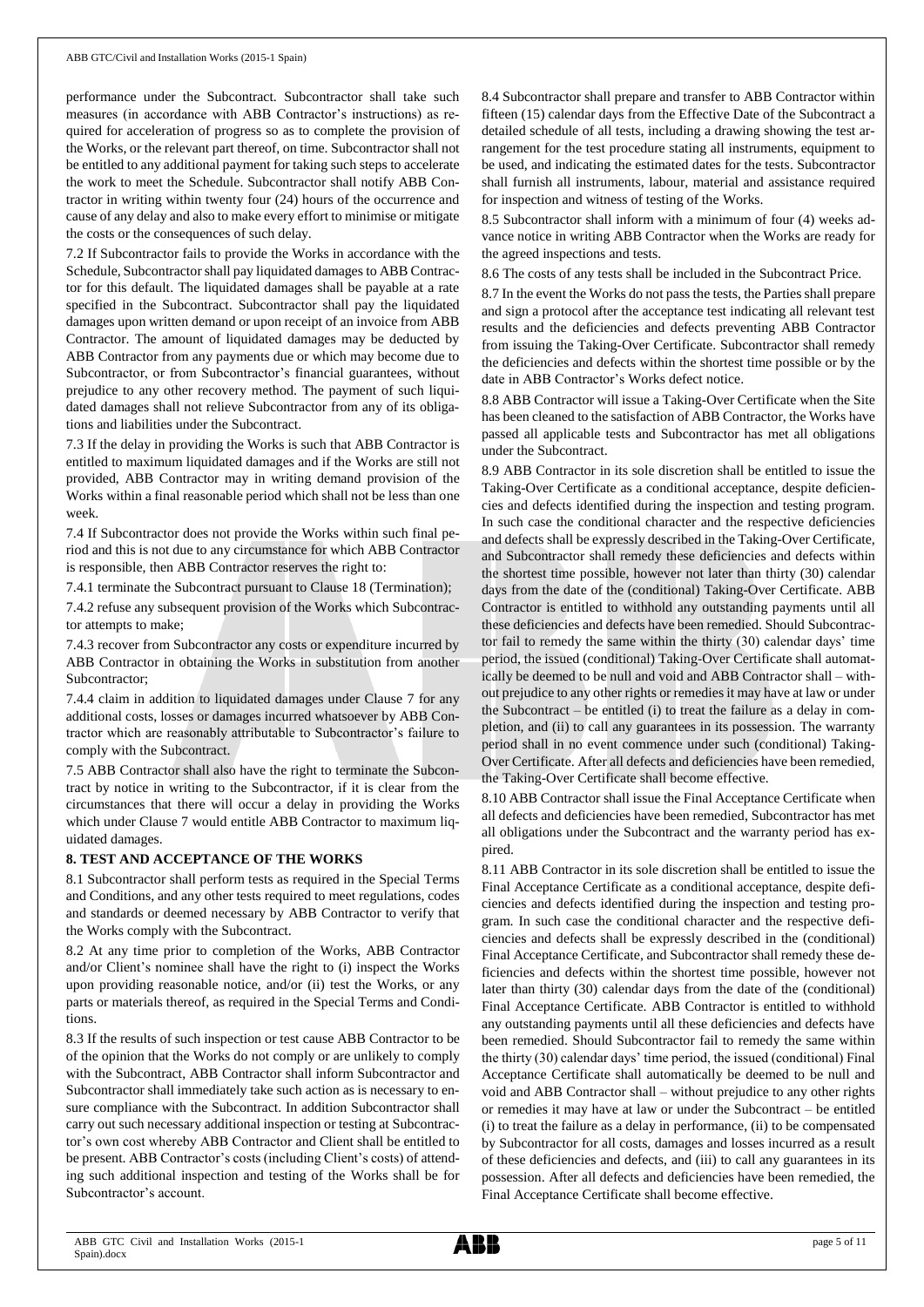performance under the Subcontract. Subcontractor shall take such measures (in accordance with ABB Contractor's instructions) as required for acceleration of progress so as to complete the provision of the Works, or the relevant part thereof, on time. Subcontractor shall not be entitled to any additional payment for taking such steps to accelerate the work to meet the Schedule. Subcontractor shall notify ABB Contractor in writing within twenty four (24) hours of the occurrence and cause of any delay and also to make every effort to minimise or mitigate the costs or the consequences of such delay.

7.2 If Subcontractor fails to provide the Works in accordance with the Schedule, Subcontractor shall pay liquidated damages to ABB Contractor for this default. The liquidated damages shall be payable at a rate specified in the Subcontract. Subcontractor shall pay the liquidated damages upon written demand or upon receipt of an invoice from ABB Contractor. The amount of liquidated damages may be deducted by ABB Contractor from any payments due or which may become due to Subcontractor, or from Subcontractor's financial guarantees, without prejudice to any other recovery method. The payment of such liquidated damages shall not relieve Subcontractor from any of its obligations and liabilities under the Subcontract.

7.3 If the delay in providing the Works is such that ABB Contractor is entitled to maximum liquidated damages and if the Works are still not provided, ABB Contractor may in writing demand provision of the Works within a final reasonable period which shall not be less than one week.

7.4 If Subcontractor does not provide the Works within such final period and this is not due to any circumstance for which ABB Contractor is responsible, then ABB Contractor reserves the right to:

7.4.1 terminate the Subcontract pursuant to Clause 18 (Termination);

7.4.2 refuse any subsequent provision of the Works which Subcontractor attempts to make;

7.4.3 recover from Subcontractor any costs or expenditure incurred by ABB Contractor in obtaining the Works in substitution from another Subcontractor;

7.4.4 claim in addition to liquidated damages under Clause 7 for any additional costs, losses or damages incurred whatsoever by ABB Contractor which are reasonably attributable to Subcontractor's failure to comply with the Subcontract.

7.5 ABB Contractor shall also have the right to terminate the Subcontract by notice in writing to the Subcontractor, if it is clear from the circumstances that there will occur a delay in providing the Works which under Clause 7 would entitle ABB Contractor to maximum liquidated damages.

#### **8. TEST AND ACCEPTANCE OF THE WORKS**

8.1 Subcontractor shall perform tests as required in the Special Terms and Conditions, and any other tests required to meet regulations, codes and standards or deemed necessary by ABB Contractor to verify that the Works comply with the Subcontract.

8.2 At any time prior to completion of the Works, ABB Contractor and/or Client's nominee shall have the right to (i) inspect the Works upon providing reasonable notice, and/or (ii) test the Works, or any parts or materials thereof, as required in the Special Terms and Conditions.

8.3 If the results of such inspection or test cause ABB Contractor to be of the opinion that the Works do not comply or are unlikely to comply with the Subcontract, ABB Contractor shall inform Subcontractor and Subcontractor shall immediately take such action as is necessary to ensure compliance with the Subcontract. In addition Subcontractor shall carry out such necessary additional inspection or testing at Subcontractor's own cost whereby ABB Contractor and Client shall be entitled to be present. ABB Contractor's costs (including Client's costs) of attending such additional inspection and testing of the Works shall be for Subcontractor's account.

8.4 Subcontractor shall prepare and transfer to ABB Contractor within fifteen (15) calendar days from the Effective Date of the Subcontract a detailed schedule of all tests, including a drawing showing the test arrangement for the test procedure stating all instruments, equipment to be used, and indicating the estimated dates for the tests. Subcontractor shall furnish all instruments, labour, material and assistance required for inspection and witness of testing of the Works.

8.5 Subcontractor shall inform with a minimum of four (4) weeks advance notice in writing ABB Contractor when the Works are ready for the agreed inspections and tests.

8.6 The costs of any tests shall be included in the Subcontract Price.

8.7 In the event the Works do not pass the tests, the Parties shall prepare and sign a protocol after the acceptance test indicating all relevant test results and the deficiencies and defects preventing ABB Contractor from issuing the Taking-Over Certificate. Subcontractor shall remedy the deficiencies and defects within the shortest time possible or by the date in ABB Contractor's Works defect notice.

8.8 ABB Contractor will issue a Taking-Over Certificate when the Site has been cleaned to the satisfaction of ABB Contractor, the Works have passed all applicable tests and Subcontractor has met all obligations under the Subcontract.

8.9 ABB Contractor in its sole discretion shall be entitled to issue the Taking-Over Certificate as a conditional acceptance, despite deficiencies and defects identified during the inspection and testing program. In such case the conditional character and the respective deficiencies and defects shall be expressly described in the Taking-Over Certificate, and Subcontractor shall remedy these deficiencies and defects within the shortest time possible, however not later than thirty (30) calendar days from the date of the (conditional) Taking-Over Certificate. ABB Contractor is entitled to withhold any outstanding payments until all these deficiencies and defects have been remedied. Should Subcontractor fail to remedy the same within the thirty (30) calendar days' time period, the issued (conditional) Taking-Over Certificate shall automatically be deemed to be null and void and ABB Contractor shall – without prejudice to any other rights or remedies it may have at law or under the Subcontract – be entitled (i) to treat the failure as a delay in completion, and (ii) to call any guarantees in its possession. The warranty period shall in no event commence under such (conditional) Taking-Over Certificate. After all defects and deficiencies have been remedied, the Taking-Over Certificate shall become effective.

8.10 ABB Contractor shall issue the Final Acceptance Certificate when all defects and deficiencies have been remedied, Subcontractor has met all obligations under the Subcontract and the warranty period has expired.

8.11 ABB Contractor in its sole discretion shall be entitled to issue the Final Acceptance Certificate as a conditional acceptance, despite deficiencies and defects identified during the inspection and testing program. In such case the conditional character and the respective deficiencies and defects shall be expressly described in the (conditional) Final Acceptance Certificate, and Subcontractor shall remedy these deficiencies and defects within the shortest time possible, however not later than thirty (30) calendar days from the date of the (conditional) Final Acceptance Certificate. ABB Contractor is entitled to withhold any outstanding payments until all these deficiencies and defects have been remedied. Should Subcontractor fail to remedy the same within the thirty (30) calendar days' time period, the issued (conditional) Final Acceptance Certificate shall automatically be deemed to be null and void and ABB Contractor shall – without prejudice to any other rights or remedies it may have at law or under the Subcontract – be entitled (i) to treat the failure as a delay in performance, (ii) to be compensated by Subcontractor for all costs, damages and losses incurred as a result of these deficiencies and defects, and (iii) to call any guarantees in its possession. After all defects and deficiencies have been remedied, the Final Acceptance Certificate shall become effective.

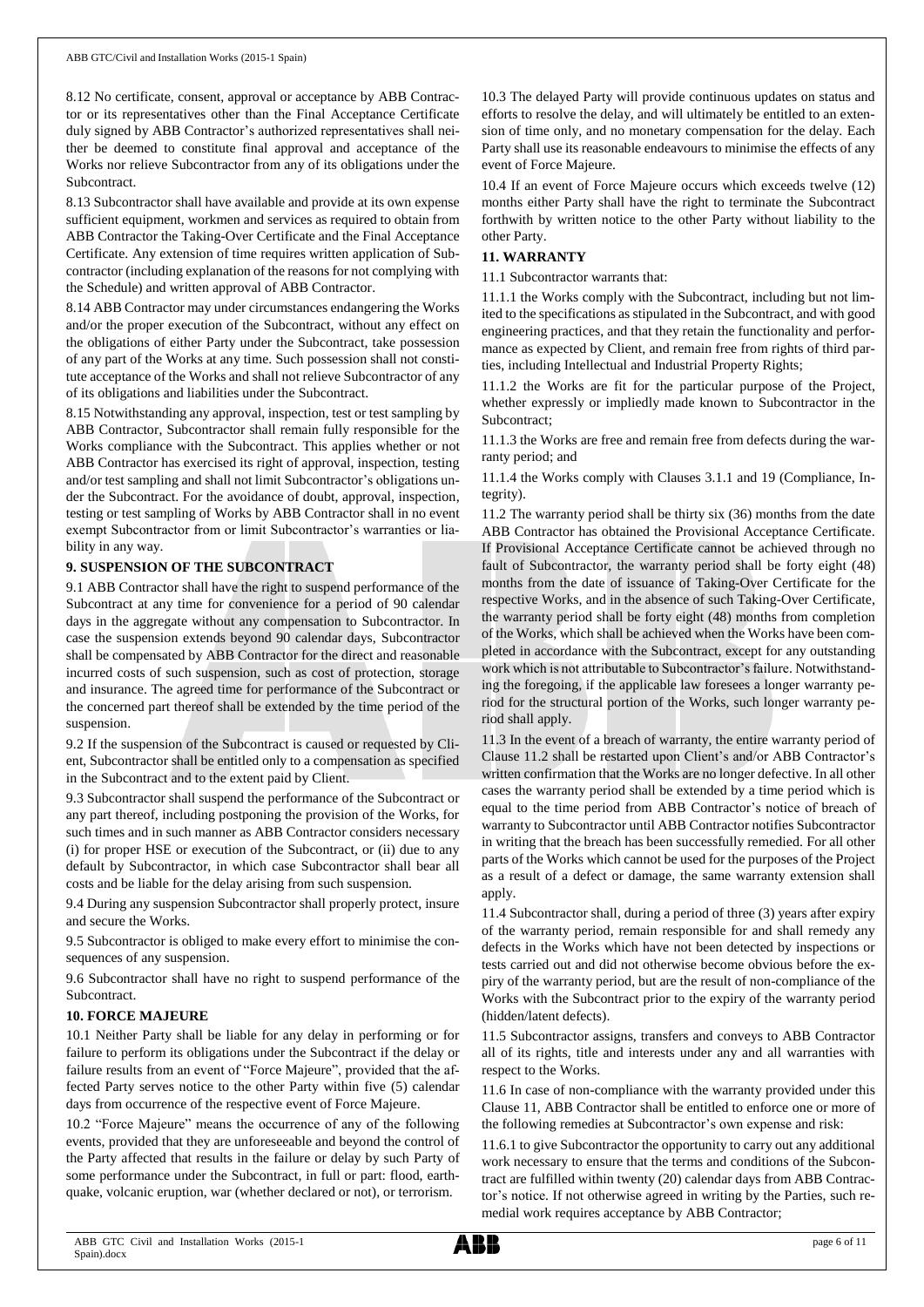8.12 No certificate, consent, approval or acceptance by ABB Contractor or its representatives other than the Final Acceptance Certificate duly signed by ABB Contractor's authorized representatives shall neither be deemed to constitute final approval and acceptance of the Works nor relieve Subcontractor from any of its obligations under the Subcontract.

8.13 Subcontractor shall have available and provide at its own expense sufficient equipment, workmen and services as required to obtain from ABB Contractor the Taking-Over Certificate and the Final Acceptance Certificate. Any extension of time requires written application of Subcontractor (including explanation of the reasons for not complying with the Schedule) and written approval of ABB Contractor.

8.14 ABB Contractor may under circumstances endangering the Works and/or the proper execution of the Subcontract, without any effect on the obligations of either Party under the Subcontract, take possession of any part of the Works at any time. Such possession shall not constitute acceptance of the Works and shall not relieve Subcontractor of any of its obligations and liabilities under the Subcontract.

8.15 Notwithstanding any approval, inspection, test or test sampling by ABB Contractor, Subcontractor shall remain fully responsible for the Works compliance with the Subcontract. This applies whether or not ABB Contractor has exercised its right of approval, inspection, testing and/or test sampling and shall not limit Subcontractor's obligations under the Subcontract. For the avoidance of doubt, approval, inspection, testing or test sampling of Works by ABB Contractor shall in no event exempt Subcontractor from or limit Subcontractor's warranties or liability in any way.

## **9. SUSPENSION OF THE SUBCONTRACT**

9.1 ABB Contractor shall have the right to suspend performance of the Subcontract at any time for convenience for a period of 90 calendar days in the aggregate without any compensation to Subcontractor. In case the suspension extends beyond 90 calendar days, Subcontractor shall be compensated by ABB Contractor for the direct and reasonable incurred costs of such suspension, such as cost of protection, storage and insurance. The agreed time for performance of the Subcontract or the concerned part thereof shall be extended by the time period of the suspension.

9.2 If the suspension of the Subcontract is caused or requested by Client, Subcontractor shall be entitled only to a compensation as specified in the Subcontract and to the extent paid by Client.

9.3 Subcontractor shall suspend the performance of the Subcontract or any part thereof, including postponing the provision of the Works, for such times and in such manner as ABB Contractor considers necessary (i) for proper HSE or execution of the Subcontract, or (ii) due to any default by Subcontractor, in which case Subcontractor shall bear all costs and be liable for the delay arising from such suspension.

9.4 During any suspension Subcontractor shall properly protect, insure and secure the Works.

9.5 Subcontractor is obliged to make every effort to minimise the consequences of any suspension.

9.6 Subcontractor shall have no right to suspend performance of the Subcontract.

# **10. FORCE MAJEURE**

10.1 Neither Party shall be liable for any delay in performing or for failure to perform its obligations under the Subcontract if the delay or failure results from an event of "Force Majeure", provided that the affected Party serves notice to the other Party within five (5) calendar days from occurrence of the respective event of Force Majeure.

10.2 "Force Majeure" means the occurrence of any of the following events, provided that they are unforeseeable and beyond the control of the Party affected that results in the failure or delay by such Party of some performance under the Subcontract, in full or part: flood, earthquake, volcanic eruption, war (whether declared or not), or terrorism.

10.3 The delayed Party will provide continuous updates on status and efforts to resolve the delay, and will ultimately be entitled to an extension of time only, and no monetary compensation for the delay. Each Party shall use its reasonable endeavours to minimise the effects of any event of Force Majeure.

10.4 If an event of Force Majeure occurs which exceeds twelve (12) months either Party shall have the right to terminate the Subcontract forthwith by written notice to the other Party without liability to the other Party.

# **11. WARRANTY**

11.1 Subcontractor warrants that:

11.1.1 the Works comply with the Subcontract, including but not limited to the specifications as stipulated in the Subcontract, and with good engineering practices, and that they retain the functionality and performance as expected by Client, and remain free from rights of third parties, including Intellectual and Industrial Property Rights;

11.1.2 the Works are fit for the particular purpose of the Project, whether expressly or impliedly made known to Subcontractor in the Subcontract;

11.1.3 the Works are free and remain free from defects during the warranty period; and

11.1.4 the Works comply with Clauses 3.1.1 and 19 (Compliance, Integrity).

11.2 The warranty period shall be thirty six (36) months from the date ABB Contractor has obtained the Provisional Acceptance Certificate. If Provisional Acceptance Certificate cannot be achieved through no fault of Subcontractor, the warranty period shall be forty eight (48) months from the date of issuance of Taking-Over Certificate for the respective Works, and in the absence of such Taking-Over Certificate, the warranty period shall be forty eight (48) months from completion of the Works, which shall be achieved when the Works have been completed in accordance with the Subcontract, except for any outstanding work which is not attributable to Subcontractor's failure. Notwithstanding the foregoing, if the applicable law foresees a longer warranty period for the structural portion of the Works, such longer warranty period shall apply.

11.3 In the event of a breach of warranty, the entire warranty period of Clause 11.2 shall be restarted upon Client's and/or ABB Contractor's written confirmation that the Works are no longer defective. In all other cases the warranty period shall be extended by a time period which is equal to the time period from ABB Contractor's notice of breach of warranty to Subcontractor until ABB Contractor notifies Subcontractor in writing that the breach has been successfully remedied. For all other parts of the Works which cannot be used for the purposes of the Project as a result of a defect or damage, the same warranty extension shall apply.

11.4 Subcontractor shall, during a period of three (3) years after expiry of the warranty period, remain responsible for and shall remedy any defects in the Works which have not been detected by inspections or tests carried out and did not otherwise become obvious before the expiry of the warranty period, but are the result of non-compliance of the Works with the Subcontract prior to the expiry of the warranty period (hidden/latent defects).

11.5 Subcontractor assigns, transfers and conveys to ABB Contractor all of its rights, title and interests under any and all warranties with respect to the Works.

11.6 In case of non-compliance with the warranty provided under this Clause 11, ABB Contractor shall be entitled to enforce one or more of the following remedies at Subcontractor's own expense and risk:

11.6.1 to give Subcontractor the opportunity to carry out any additional work necessary to ensure that the terms and conditions of the Subcontract are fulfilled within twenty (20) calendar days from ABB Contractor's notice. If not otherwise agreed in writing by the Parties, such remedial work requires acceptance by ABB Contractor;

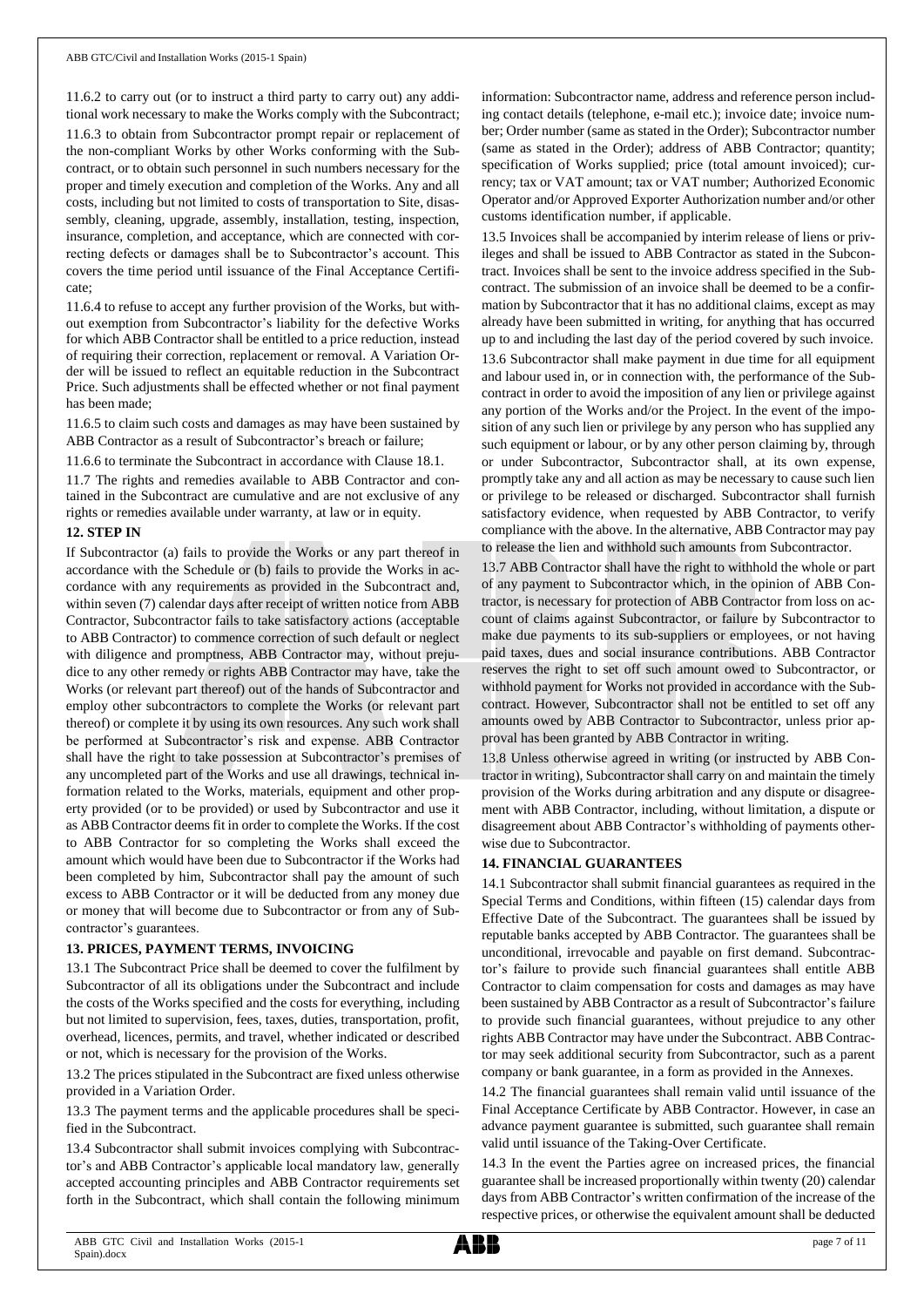11.6.2 to carry out (or to instruct a third party to carry out) any additional work necessary to make the Works comply with the Subcontract; 11.6.3 to obtain from Subcontractor prompt repair or replacement of the non-compliant Works by other Works conforming with the Subcontract, or to obtain such personnel in such numbers necessary for the proper and timely execution and completion of the Works. Any and all costs, including but not limited to costs of transportation to Site, disassembly, cleaning, upgrade, assembly, installation, testing, inspection, insurance, completion, and acceptance, which are connected with correcting defects or damages shall be to Subcontractor's account. This covers the time period until issuance of the Final Acceptance Certificate;

11.6.4 to refuse to accept any further provision of the Works, but without exemption from Subcontractor's liability for the defective Works for which ABB Contractor shall be entitled to a price reduction, instead of requiring their correction, replacement or removal. A Variation Order will be issued to reflect an equitable reduction in the Subcontract Price. Such adjustments shall be effected whether or not final payment has been made;

11.6.5 to claim such costs and damages as may have been sustained by ABB Contractor as a result of Subcontractor's breach or failure;

11.6.6 to terminate the Subcontract in accordance with Clause 18.1.

11.7 The rights and remedies available to ABB Contractor and contained in the Subcontract are cumulative and are not exclusive of any rights or remedies available under warranty, at law or in equity.

## **12. STEP IN**

If Subcontractor (a) fails to provide the Works or any part thereof in accordance with the Schedule or (b) fails to provide the Works in accordance with any requirements as provided in the Subcontract and, within seven (7) calendar days after receipt of written notice from ABB Contractor, Subcontractor fails to take satisfactory actions (acceptable to ABB Contractor) to commence correction of such default or neglect with diligence and promptness, ABB Contractor may, without prejudice to any other remedy or rights ABB Contractor may have, take the Works (or relevant part thereof) out of the hands of Subcontractor and employ other subcontractors to complete the Works (or relevant part thereof) or complete it by using its own resources. Any such work shall be performed at Subcontractor's risk and expense. ABB Contractor shall have the right to take possession at Subcontractor's premises of any uncompleted part of the Works and use all drawings, technical information related to the Works, materials, equipment and other property provided (or to be provided) or used by Subcontractor and use it as ABB Contractor deems fit in order to complete the Works. If the cost to ABB Contractor for so completing the Works shall exceed the amount which would have been due to Subcontractor if the Works had been completed by him, Subcontractor shall pay the amount of such excess to ABB Contractor or it will be deducted from any money due or money that will become due to Subcontractor or from any of Subcontractor's guarantees.

#### **13. PRICES, PAYMENT TERMS, INVOICING**

13.1 The Subcontract Price shall be deemed to cover the fulfilment by Subcontractor of all its obligations under the Subcontract and include the costs of the Works specified and the costs for everything, including but not limited to supervision, fees, taxes, duties, transportation, profit, overhead, licences, permits, and travel, whether indicated or described or not, which is necessary for the provision of the Works.

13.2 The prices stipulated in the Subcontract are fixed unless otherwise provided in a Variation Order.

13.3 The payment terms and the applicable procedures shall be specified in the Subcontract.

13.4 Subcontractor shall submit invoices complying with Subcontractor's and ABB Contractor's applicable local mandatory law, generally accepted accounting principles and ABB Contractor requirements set forth in the Subcontract, which shall contain the following minimum information: Subcontractor name, address and reference person including contact details (telephone, e-mail etc.); invoice date; invoice number; Order number (same as stated in the Order); Subcontractor number (same as stated in the Order); address of ABB Contractor; quantity; specification of Works supplied; price (total amount invoiced); currency; tax or VAT amount; tax or VAT number; Authorized Economic Operator and/or Approved Exporter Authorization number and/or other customs identification number, if applicable.

13.5 Invoices shall be accompanied by interim release of liens or privileges and shall be issued to ABB Contractor as stated in the Subcontract. Invoices shall be sent to the invoice address specified in the Subcontract. The submission of an invoice shall be deemed to be a confirmation by Subcontractor that it has no additional claims, except as may already have been submitted in writing, for anything that has occurred up to and including the last day of the period covered by such invoice.

13.6 Subcontractor shall make payment in due time for all equipment and labour used in, or in connection with, the performance of the Subcontract in order to avoid the imposition of any lien or privilege against any portion of the Works and/or the Project. In the event of the imposition of any such lien or privilege by any person who has supplied any such equipment or labour, or by any other person claiming by, through or under Subcontractor, Subcontractor shall, at its own expense, promptly take any and all action as may be necessary to cause such lien or privilege to be released or discharged. Subcontractor shall furnish satisfactory evidence, when requested by ABB Contractor, to verify compliance with the above. In the alternative, ABB Contractor may pay to release the lien and withhold such amounts from Subcontractor.

13.7 ABB Contractor shall have the right to withhold the whole or part of any payment to Subcontractor which, in the opinion of ABB Contractor, is necessary for protection of ABB Contractor from loss on account of claims against Subcontractor, or failure by Subcontractor to make due payments to its sub-suppliers or employees, or not having paid taxes, dues and social insurance contributions. ABB Contractor reserves the right to set off such amount owed to Subcontractor, or withhold payment for Works not provided in accordance with the Subcontract. However, Subcontractor shall not be entitled to set off any amounts owed by ABB Contractor to Subcontractor, unless prior approval has been granted by ABB Contractor in writing.

13.8 Unless otherwise agreed in writing (or instructed by ABB Contractor in writing), Subcontractorshall carry on and maintain the timely provision of the Works during arbitration and any dispute or disagreement with ABB Contractor, including, without limitation, a dispute or disagreement about ABB Contractor's withholding of payments otherwise due to Subcontractor.

# **14. FINANCIAL GUARANTEES**

14.1 Subcontractor shall submit financial guarantees as required in the Special Terms and Conditions, within fifteen (15) calendar days from Effective Date of the Subcontract. The guarantees shall be issued by reputable banks accepted by ABB Contractor. The guarantees shall be unconditional, irrevocable and payable on first demand. Subcontractor's failure to provide such financial guarantees shall entitle ABB Contractor to claim compensation for costs and damages as may have been sustained by ABB Contractor as a result of Subcontractor's failure to provide such financial guarantees, without prejudice to any other rights ABB Contractor may have under the Subcontract. ABB Contractor may seek additional security from Subcontractor, such as a parent company or bank guarantee, in a form as provided in the Annexes.

14.2 The financial guarantees shall remain valid until issuance of the Final Acceptance Certificate by ABB Contractor. However, in case an advance payment guarantee is submitted, such guarantee shall remain valid until issuance of the Taking-Over Certificate.

14.3 In the event the Parties agree on increased prices, the financial guarantee shall be increased proportionally within twenty (20) calendar days from ABB Contractor's written confirmation of the increase of the respective prices, or otherwise the equivalent amount shall be deducted

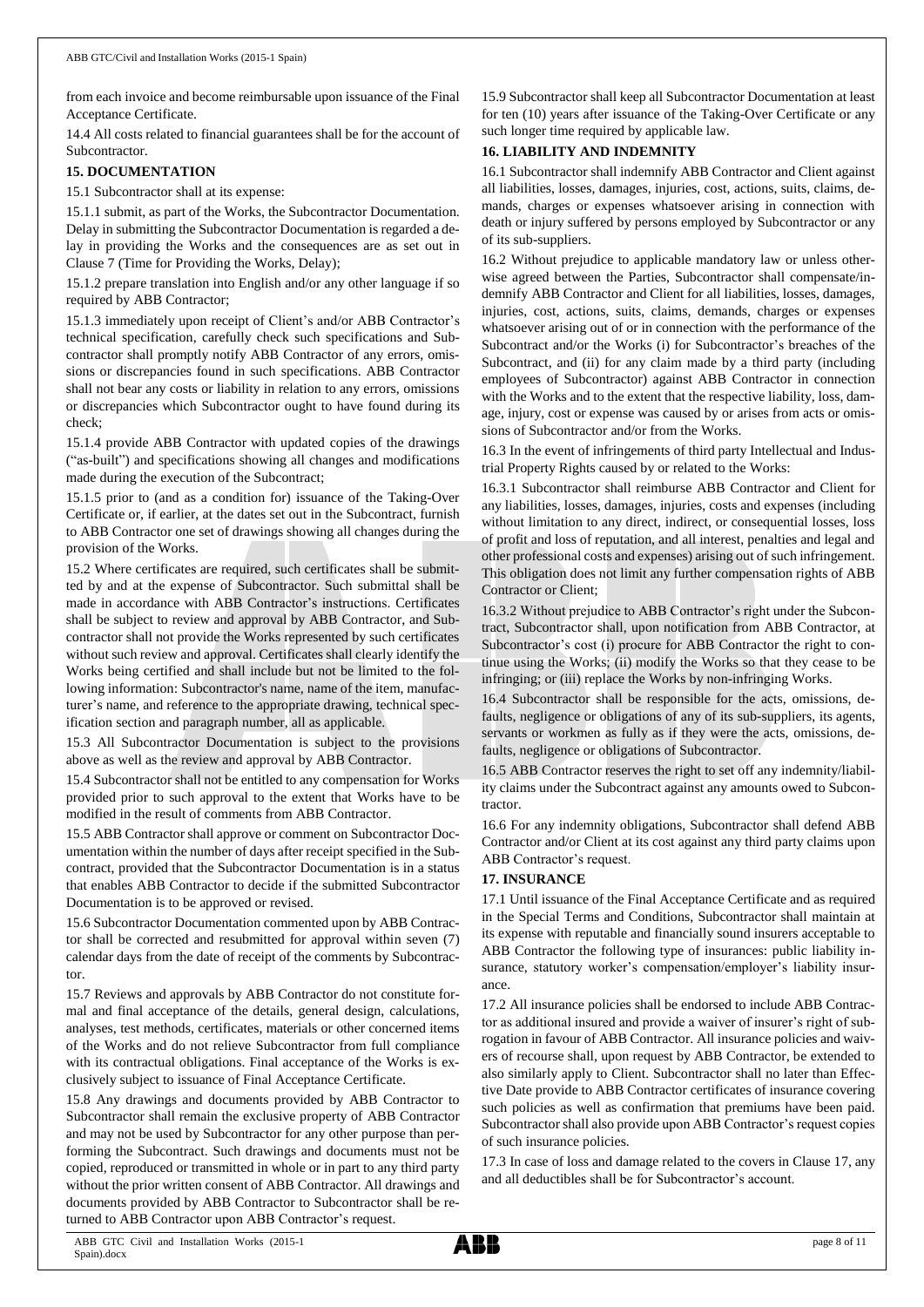from each invoice and become reimbursable upon issuance of the Final Acceptance Certificate.

14.4 All costs related to financial guarantees shall be for the account of Subcontractor.

## **15. DOCUMENTATION**

15.1 Subcontractor shall at its expense:

15.1.1 submit, as part of the Works, the Subcontractor Documentation. Delay in submitting the Subcontractor Documentation is regarded a delay in providing the Works and the consequences are as set out in Clause 7 (Time for Providing the Works, Delay);

15.1.2 prepare translation into English and/or any other language if so required by ABB Contractor;

15.1.3 immediately upon receipt of Client's and/or ABB Contractor's technical specification, carefully check such specifications and Subcontractor shall promptly notify ABB Contractor of any errors, omissions or discrepancies found in such specifications. ABB Contractor shall not bear any costs or liability in relation to any errors, omissions or discrepancies which Subcontractor ought to have found during its check;

15.1.4 provide ABB Contractor with updated copies of the drawings ("as-built") and specifications showing all changes and modifications made during the execution of the Subcontract;

15.1.5 prior to (and as a condition for) issuance of the Taking-Over Certificate or, if earlier, at the dates set out in the Subcontract, furnish to ABB Contractor one set of drawings showing all changes during the provision of the Works.

15.2 Where certificates are required, such certificates shall be submitted by and at the expense of Subcontractor. Such submittal shall be made in accordance with ABB Contractor's instructions. Certificates shall be subject to review and approval by ABB Contractor, and Subcontractor shall not provide the Works represented by such certificates without such review and approval. Certificates shall clearly identify the Works being certified and shall include but not be limited to the following information: Subcontractor's name, name of the item, manufacturer's name, and reference to the appropriate drawing, technical specification section and paragraph number, all as applicable.

15.3 All Subcontractor Documentation is subject to the provisions above as well as the review and approval by ABB Contractor.

15.4 Subcontractor shall not be entitled to any compensation for Works provided prior to such approval to the extent that Works have to be modified in the result of comments from ABB Contractor.

15.5 ABB Contractor shall approve or comment on Subcontractor Documentation within the number of days after receipt specified in the Subcontract, provided that the Subcontractor Documentation is in a status that enables ABB Contractor to decide if the submitted Subcontractor Documentation is to be approved or revised.

15.6 Subcontractor Documentation commented upon by ABB Contractor shall be corrected and resubmitted for approval within seven (7) calendar days from the date of receipt of the comments by Subcontractor.

15.7 Reviews and approvals by ABB Contractor do not constitute formal and final acceptance of the details, general design, calculations, analyses, test methods, certificates, materials or other concerned items of the Works and do not relieve Subcontractor from full compliance with its contractual obligations. Final acceptance of the Works is exclusively subject to issuance of Final Acceptance Certificate.

15.8 Any drawings and documents provided by ABB Contractor to Subcontractor shall remain the exclusive property of ABB Contractor and may not be used by Subcontractor for any other purpose than performing the Subcontract. Such drawings and documents must not be copied, reproduced or transmitted in whole or in part to any third party without the prior written consent of ABB Contractor. All drawings and documents provided by ABB Contractor to Subcontractor shall be returned to ABB Contractor upon ABB Contractor's request.

15.9 Subcontractor shall keep all Subcontractor Documentation at least for ten (10) years after issuance of the Taking-Over Certificate or any such longer time required by applicable law.

# **16. LIABILITY AND INDEMNITY**

16.1 Subcontractor shall indemnify ABB Contractor and Client against all liabilities, losses, damages, injuries, cost, actions, suits, claims, demands, charges or expenses whatsoever arising in connection with death or injury suffered by persons employed by Subcontractor or any of its sub-suppliers.

16.2 Without prejudice to applicable mandatory law or unless otherwise agreed between the Parties, Subcontractor shall compensate/indemnify ABB Contractor and Client for all liabilities, losses, damages, injuries, cost, actions, suits, claims, demands, charges or expenses whatsoever arising out of or in connection with the performance of the Subcontract and/or the Works (i) for Subcontractor's breaches of the Subcontract, and (ii) for any claim made by a third party (including employees of Subcontractor) against ABB Contractor in connection with the Works and to the extent that the respective liability, loss, damage, injury, cost or expense was caused by or arises from acts or omissions of Subcontractor and/or from the Works.

16.3 In the event of infringements of third party Intellectual and Industrial Property Rights caused by or related to the Works:

16.3.1 Subcontractor shall reimburse ABB Contractor and Client for any liabilities, losses, damages, injuries, costs and expenses (including without limitation to any direct, indirect, or consequential losses, loss of profit and loss of reputation, and all interest, penalties and legal and other professional costs and expenses) arising out of such infringement. This obligation does not limit any further compensation rights of ABB Contractor or Client;

16.3.2 Without prejudice to ABB Contractor's right under the Subcontract, Subcontractor shall, upon notification from ABB Contractor, at Subcontractor's cost (i) procure for ABB Contractor the right to continue using the Works; (ii) modify the Works so that they cease to be infringing; or (iii) replace the Works by non-infringing Works.

16.4 Subcontractor shall be responsible for the acts, omissions, defaults, negligence or obligations of any of its sub-suppliers, its agents, servants or workmen as fully as if they were the acts, omissions, defaults, negligence or obligations of Subcontractor.

16.5 ABB Contractor reserves the right to set off any indemnity/liability claims under the Subcontract against any amounts owed to Subcontractor.

16.6 For any indemnity obligations, Subcontractor shall defend ABB Contractor and/or Client at its cost against any third party claims upon ABB Contractor's request.

# **17. INSURANCE**

17.1 Until issuance of the Final Acceptance Certificate and as required in the Special Terms and Conditions, Subcontractor shall maintain at its expense with reputable and financially sound insurers acceptable to ABB Contractor the following type of insurances: public liability insurance, statutory worker's compensation/employer's liability insurance.

17.2 All insurance policies shall be endorsed to include ABB Contractor as additional insured and provide a waiver of insurer's right of subrogation in favour of ABB Contractor. All insurance policies and waivers of recourse shall, upon request by ABB Contractor, be extended to also similarly apply to Client. Subcontractor shall no later than Effective Date provide to ABB Contractor certificates of insurance covering such policies as well as confirmation that premiums have been paid. Subcontractor shall also provide upon ABB Contractor's request copies of such insurance policies.

17.3 In case of loss and damage related to the covers in Clause 17, any and all deductibles shall be for Subcontractor's account.

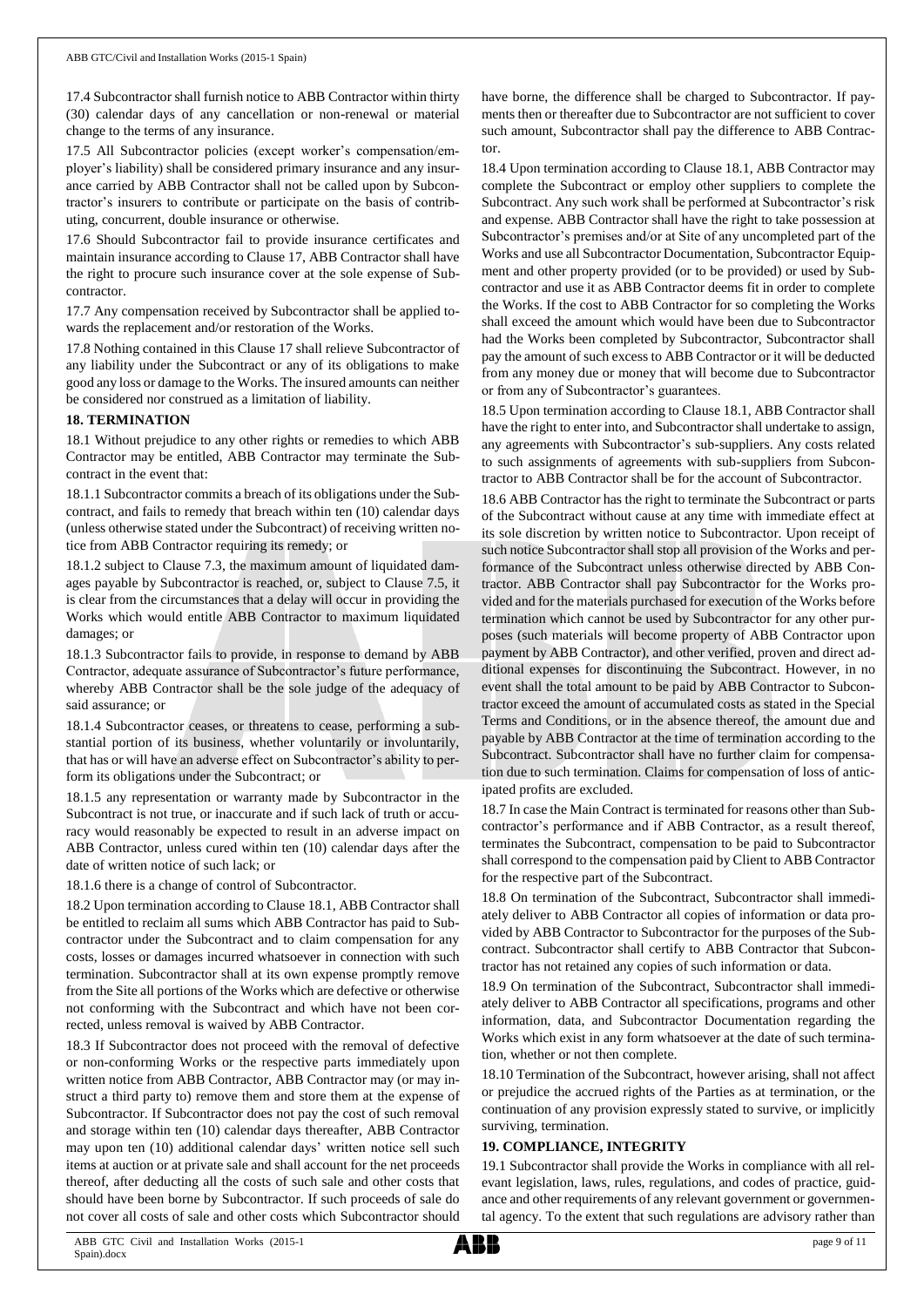17.4 Subcontractor shall furnish notice to ABB Contractor within thirty (30) calendar days of any cancellation or non-renewal or material change to the terms of any insurance.

17.5 All Subcontractor policies (except worker's compensation/employer's liability) shall be considered primary insurance and any insurance carried by ABB Contractor shall not be called upon by Subcontractor's insurers to contribute or participate on the basis of contributing, concurrent, double insurance or otherwise.

17.6 Should Subcontractor fail to provide insurance certificates and maintain insurance according to Clause 17, ABB Contractor shall have the right to procure such insurance cover at the sole expense of Subcontractor.

17.7 Any compensation received by Subcontractor shall be applied towards the replacement and/or restoration of the Works.

17.8 Nothing contained in this Clause 17 shall relieve Subcontractor of any liability under the Subcontract or any of its obligations to make good any loss or damage to the Works. The insured amounts can neither be considered nor construed as a limitation of liability.

## **18. TERMINATION**

18.1 Without prejudice to any other rights or remedies to which ABB Contractor may be entitled, ABB Contractor may terminate the Subcontract in the event that:

18.1.1 Subcontractor commits a breach of its obligations under the Subcontract, and fails to remedy that breach within ten (10) calendar days (unless otherwise stated under the Subcontract) of receiving written notice from ABB Contractor requiring its remedy; or

18.1.2 subject to Clause 7.3, the maximum amount of liquidated damages payable by Subcontractor is reached, or, subject to Clause 7.5, it is clear from the circumstances that a delay will occur in providing the Works which would entitle ABB Contractor to maximum liquidated damages; or

18.1.3 Subcontractor fails to provide, in response to demand by ABB Contractor, adequate assurance of Subcontractor's future performance, whereby ABB Contractor shall be the sole judge of the adequacy of said assurance; or

18.1.4 Subcontractor ceases, or threatens to cease, performing a substantial portion of its business, whether voluntarily or involuntarily, that has or will have an adverse effect on Subcontractor's ability to perform its obligations under the Subcontract; or

18.1.5 any representation or warranty made by Subcontractor in the Subcontract is not true, or inaccurate and if such lack of truth or accuracy would reasonably be expected to result in an adverse impact on ABB Contractor, unless cured within ten (10) calendar days after the date of written notice of such lack; or

18.1.6 there is a change of control of Subcontractor.

18.2 Upon termination according to Clause 18.1, ABB Contractor shall be entitled to reclaim all sums which ABB Contractor has paid to Subcontractor under the Subcontract and to claim compensation for any costs, losses or damages incurred whatsoever in connection with such termination. Subcontractor shall at its own expense promptly remove from the Site all portions of the Works which are defective or otherwise not conforming with the Subcontract and which have not been corrected, unless removal is waived by ABB Contractor.

18.3 If Subcontractor does not proceed with the removal of defective or non-conforming Works or the respective parts immediately upon written notice from ABB Contractor, ABB Contractor may (or may instruct a third party to) remove them and store them at the expense of Subcontractor. If Subcontractor does not pay the cost of such removal and storage within ten (10) calendar days thereafter, ABB Contractor may upon ten (10) additional calendar days' written notice sell such items at auction or at private sale and shall account for the net proceeds thereof, after deducting all the costs of such sale and other costs that should have been borne by Subcontractor. If such proceeds of sale do not cover all costs of sale and other costs which Subcontractor should have borne, the difference shall be charged to Subcontractor. If payments then or thereafter due to Subcontractor are not sufficient to cover such amount, Subcontractor shall pay the difference to ABB Contractor.

18.4 Upon termination according to Clause 18.1, ABB Contractor may complete the Subcontract or employ other suppliers to complete the Subcontract. Any such work shall be performed at Subcontractor's risk and expense. ABB Contractor shall have the right to take possession at Subcontractor's premises and/or at Site of any uncompleted part of the Works and use all Subcontractor Documentation, Subcontractor Equipment and other property provided (or to be provided) or used by Subcontractor and use it as ABB Contractor deems fit in order to complete the Works. If the cost to ABB Contractor for so completing the Works shall exceed the amount which would have been due to Subcontractor had the Works been completed by Subcontractor, Subcontractor shall pay the amount of such excess to ABB Contractor or it will be deducted from any money due or money that will become due to Subcontractor or from any of Subcontractor's guarantees.

18.5 Upon termination according to Clause 18.1, ABB Contractor shall have the right to enter into, and Subcontractor shall undertake to assign, any agreements with Subcontractor's sub-suppliers. Any costs related to such assignments of agreements with sub-suppliers from Subcontractor to ABB Contractor shall be for the account of Subcontractor.

18.6 ABB Contractor has the right to terminate the Subcontract or parts of the Subcontract without cause at any time with immediate effect at its sole discretion by written notice to Subcontractor. Upon receipt of such notice Subcontractor shall stop all provision of the Works and performance of the Subcontract unless otherwise directed by ABB Contractor. ABB Contractor shall pay Subcontractor for the Works provided and for the materials purchased for execution of the Works before termination which cannot be used by Subcontractor for any other purposes (such materials will become property of ABB Contractor upon payment by ABB Contractor), and other verified, proven and direct additional expenses for discontinuing the Subcontract. However, in no event shall the total amount to be paid by ABB Contractor to Subcontractor exceed the amount of accumulated costs as stated in the Special Terms and Conditions, or in the absence thereof, the amount due and payable by ABB Contractor at the time of termination according to the Subcontract. Subcontractor shall have no further claim for compensation due to such termination. Claims for compensation of loss of anticipated profits are excluded.

18.7 In case the Main Contract is terminated for reasons other than Subcontractor's performance and if ABB Contractor, as a result thereof, terminates the Subcontract, compensation to be paid to Subcontractor shall correspond to the compensation paid by Client to ABB Contractor for the respective part of the Subcontract.

18.8 On termination of the Subcontract, Subcontractor shall immediately deliver to ABB Contractor all copies of information or data provided by ABB Contractor to Subcontractor for the purposes of the Subcontract. Subcontractor shall certify to ABB Contractor that Subcontractor has not retained any copies of such information or data.

18.9 On termination of the Subcontract, Subcontractor shall immediately deliver to ABB Contractor all specifications, programs and other information, data, and Subcontractor Documentation regarding the Works which exist in any form whatsoever at the date of such termination, whether or not then complete.

18.10 Termination of the Subcontract, however arising, shall not affect or prejudice the accrued rights of the Parties as at termination, or the continuation of any provision expressly stated to survive, or implicitly surviving, termination.

# **19. COMPLIANCE, INTEGRITY**

19.1 Subcontractor shall provide the Works in compliance with all relevant legislation, laws, rules, regulations, and codes of practice, guidance and other requirements of any relevant government or governmental agency. To the extent that such regulations are advisory rather than

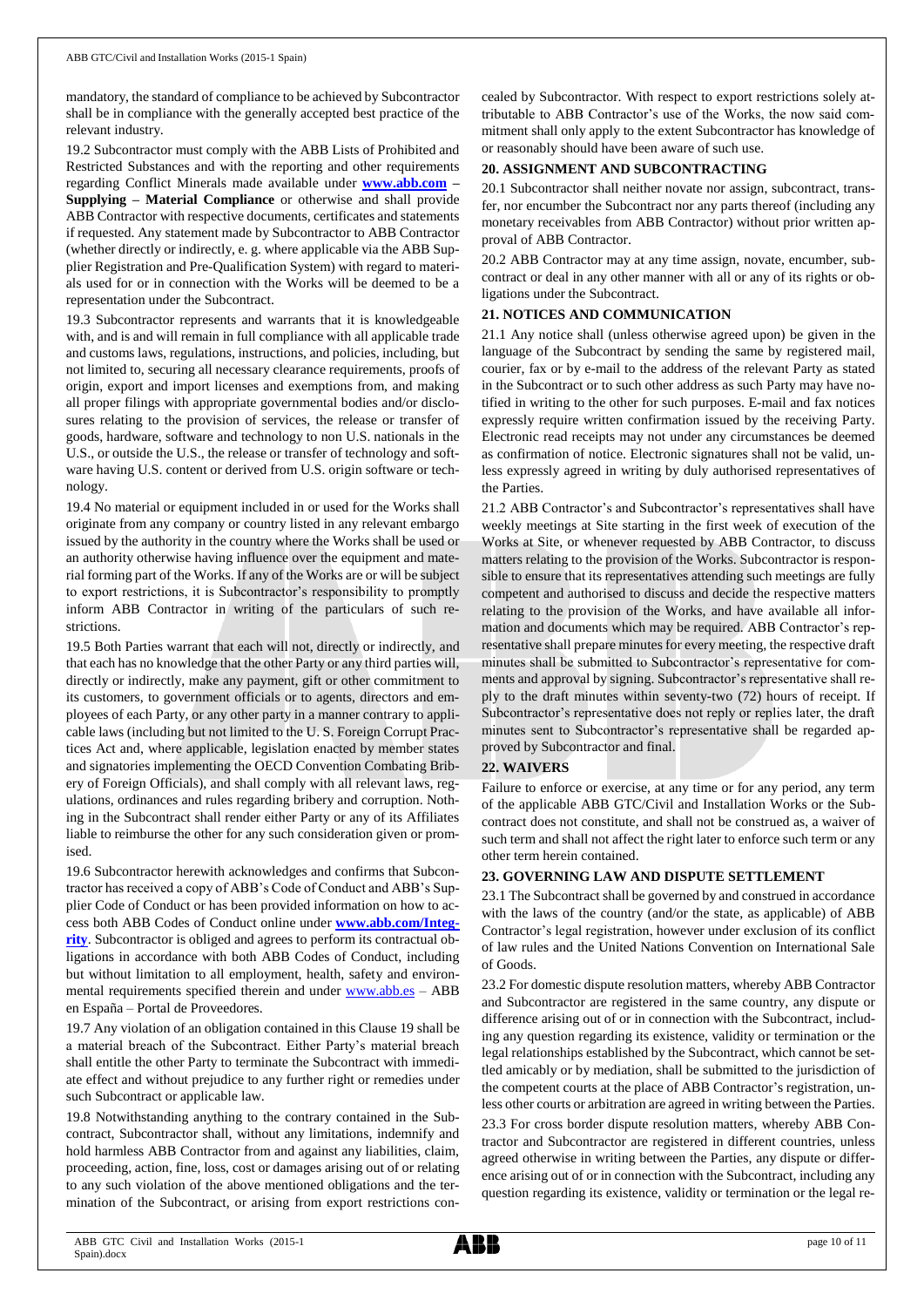mandatory, the standard of compliance to be achieved by Subcontractor shall be in compliance with the generally accepted best practice of the relevant industry.

19.2 Subcontractor must comply with the ABB Lists of Prohibited and Restricted Substances and with the reporting and other requirements regarding Conflict Minerals made available under **[www.abb.com](http://www.abb.com/) – Supplying – Material Compliance** or otherwise and shall provide ABB Contractor with respective documents, certificates and statements if requested. Any statement made by Subcontractor to ABB Contractor (whether directly or indirectly, e. g. where applicable via the ABB Supplier Registration and Pre-Qualification System) with regard to materials used for or in connection with the Works will be deemed to be a representation under the Subcontract.

19.3 Subcontractor represents and warrants that it is knowledgeable with, and is and will remain in full compliance with all applicable trade and customs laws, regulations, instructions, and policies, including, but not limited to, securing all necessary clearance requirements, proofs of origin, export and import licenses and exemptions from, and making all proper filings with appropriate governmental bodies and/or disclosures relating to the provision of services, the release or transfer of goods, hardware, software and technology to non U.S. nationals in the U.S., or outside the U.S., the release or transfer of technology and software having U.S. content or derived from U.S. origin software or technology.

19.4 No material or equipment included in or used for the Works shall originate from any company or country listed in any relevant embargo issued by the authority in the country where the Works shall be used or an authority otherwise having influence over the equipment and material forming part of the Works. If any of the Works are or will be subject to export restrictions, it is Subcontractor's responsibility to promptly inform ABB Contractor in writing of the particulars of such restrictions.

19.5 Both Parties warrant that each will not, directly or indirectly, and that each has no knowledge that the other Party or any third parties will, directly or indirectly, make any payment, gift or other commitment to its customers, to government officials or to agents, directors and employees of each Party, or any other party in a manner contrary to applicable laws (including but not limited to the U. S. Foreign Corrupt Practices Act and, where applicable, legislation enacted by member states and signatories implementing the OECD Convention Combating Bribery of Foreign Officials), and shall comply with all relevant laws, regulations, ordinances and rules regarding bribery and corruption. Nothing in the Subcontract shall render either Party or any of its Affiliates liable to reimburse the other for any such consideration given or promised.

19.6 Subcontractor herewith acknowledges and confirms that Subcontractor has received a copy of ABB's Code of Conduct and ABB's Supplier Code of Conduct or has been provided information on how to access both ABB Codes of Conduct online under **[www.abb.com/Integ](http://www.abb.com/Integrity)[rity](http://www.abb.com/Integrity)**. Subcontractor is obliged and agrees to perform its contractual obligations in accordance with both ABB Codes of Conduct, including but without limitation to all employment, health, safety and environmental requirements specified therein and under [www.abb.es](http://www.abb.es/) - ABB en España – Portal de Proveedores.

19.7 Any violation of an obligation contained in this Clause 19 shall be a material breach of the Subcontract. Either Party's material breach shall entitle the other Party to terminate the Subcontract with immediate effect and without prejudice to any further right or remedies under such Subcontract or applicable law.

19.8 Notwithstanding anything to the contrary contained in the Subcontract, Subcontractor shall, without any limitations, indemnify and hold harmless ABB Contractor from and against any liabilities, claim, proceeding, action, fine, loss, cost or damages arising out of or relating to any such violation of the above mentioned obligations and the termination of the Subcontract, or arising from export restrictions concealed by Subcontractor. With respect to export restrictions solely attributable to ABB Contractor's use of the Works, the now said commitment shall only apply to the extent Subcontractor has knowledge of or reasonably should have been aware of such use.

## **20. ASSIGNMENT AND SUBCONTRACTING**

20.1 Subcontractor shall neither novate nor assign, subcontract, transfer, nor encumber the Subcontract nor any parts thereof (including any monetary receivables from ABB Contractor) without prior written approval of ABB Contractor.

20.2 ABB Contractor may at any time assign, novate, encumber, subcontract or deal in any other manner with all or any of its rights or obligations under the Subcontract.

## **21. NOTICES AND COMMUNICATION**

21.1 Any notice shall (unless otherwise agreed upon) be given in the language of the Subcontract by sending the same by registered mail, courier, fax or by e-mail to the address of the relevant Party as stated in the Subcontract or to such other address as such Party may have notified in writing to the other for such purposes. E-mail and fax notices expressly require written confirmation issued by the receiving Party. Electronic read receipts may not under any circumstances be deemed as confirmation of notice. Electronic signatures shall not be valid, unless expressly agreed in writing by duly authorised representatives of the Parties.

21.2 ABB Contractor's and Subcontractor's representatives shall have weekly meetings at Site starting in the first week of execution of the Works at Site, or whenever requested by ABB Contractor, to discuss matters relating to the provision of the Works. Subcontractor is responsible to ensure that its representatives attending such meetings are fully competent and authorised to discuss and decide the respective matters relating to the provision of the Works, and have available all information and documents which may be required. ABB Contractor's representative shall prepare minutes for every meeting, the respective draft minutes shall be submitted to Subcontractor's representative for comments and approval by signing. Subcontractor's representative shall reply to the draft minutes within seventy-two (72) hours of receipt. If Subcontractor's representative does not reply or replies later, the draft minutes sent to Subcontractor's representative shall be regarded approved by Subcontractor and final.

# **22. WAIVERS**

Failure to enforce or exercise, at any time or for any period, any term of the applicable ABB GTC/Civil and Installation Works or the Subcontract does not constitute, and shall not be construed as, a waiver of such term and shall not affect the right later to enforce such term or any other term herein contained.

# **23. GOVERNING LAW AND DISPUTE SETTLEMENT**

23.1 The Subcontract shall be governed by and construed in accordance with the laws of the country (and/or the state, as applicable) of ABB Contractor's legal registration, however under exclusion of its conflict of law rules and the United Nations Convention on International Sale of Goods.

23.2 For domestic dispute resolution matters, whereby ABB Contractor and Subcontractor are registered in the same country, any dispute or difference arising out of or in connection with the Subcontract, including any question regarding its existence, validity or termination or the legal relationships established by the Subcontract, which cannot be settled amicably or by mediation, shall be submitted to the jurisdiction of the competent courts at the place of ABB Contractor's registration, unless other courts or arbitration are agreed in writing between the Parties. 23.3 For cross border dispute resolution matters, whereby ABB Contractor and Subcontractor are registered in different countries, unless agreed otherwise in writing between the Parties, any dispute or difference arising out of or in connection with the Subcontract, including any question regarding its existence, validity or termination or the legal re-